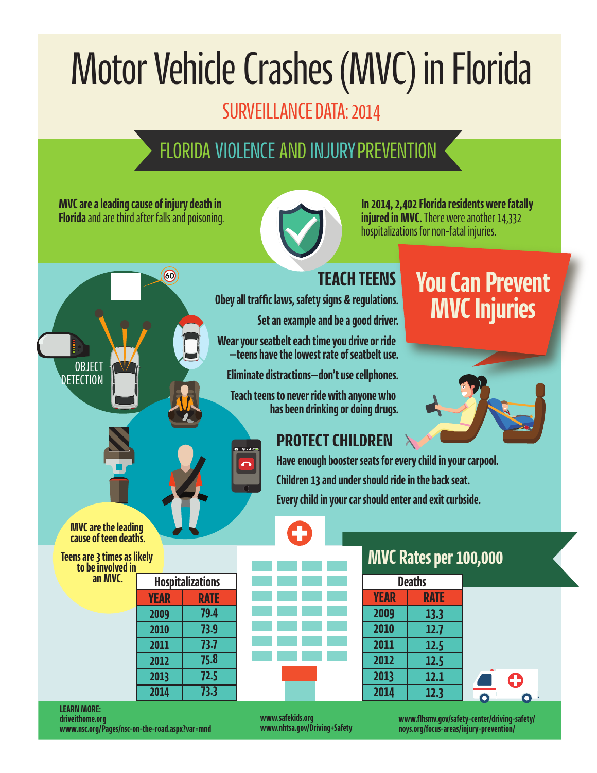# Motor Vehicle Crashes (MVC) in Florida

# SURVEILLANCE DATA: 2014

# FLORIDA VIOLENCE AND INJURY PREVENTION

**MVC are a leading cause of injury death in Florida** and are third after falls and poisoning.

60



**In 2014, 2,402 Florida residents were fatally injured in MVC.** There were another 14,332 hospitalizations for non-fatal injuries.

#### **TEACH TEENS**

**Obey all traffic laws, safety signs & regulations.**

**Set an example and be a good driver.**

**Wear your seatbelt each time you drive or ride —teens have the lowest rate of seatbelt use.**

**Eliminate distractions—don't use cellphones.**

**Teach teens to never ride with anyone who has been drinking or doing drugs.**

 $R^2$  and  $R^2$ 

# **You Can Prevent MVC Injuries**



## **PROTECT CHILDREN**

**Have enough booster seats for every child in your carpool. Children 13 and under should ride in the back seat. Every child in your car should enter and exit curbside.**

**MVC are the leading cause of teen deaths.**

**OBJECT DETECTION** 

**Teens are 3 times as likely to be involved in an MVC.**

| <b>Hospitalizations</b> |             |
|-------------------------|-------------|
| <b>YEAR</b>             | <b>RATE</b> |
| 2009                    | 79.4        |
| 2010                    | 73.9        |
| 2011                    | 73.7        |
| 2012                    | 75.8        |
| 2013                    | 72.5        |
| 2014                    | 73.3        |



## **MVC Rates per 100,000**

| <b>Deaths</b> |             |
|---------------|-------------|
| <b>YEAR</b>   | <b>RATE</b> |
| 2009          | 13.3        |
| 2010          | 12.7        |
| 2011          | 12.5        |
| 2012          | 12.5        |
| 2013          | 12.1        |
| 2014          | 12.3        |

#### **LEARN MORE: driveithome.org www.nsc.org/Pages/nsc-on-the-road.aspx?var=mnd**

**www.safekids.org www.nhtsa.gov/Driving+Safety** **www.flhsmv.gov/safety-center/driving-safety/ noys.org/focus-areas/injury-prevention/**